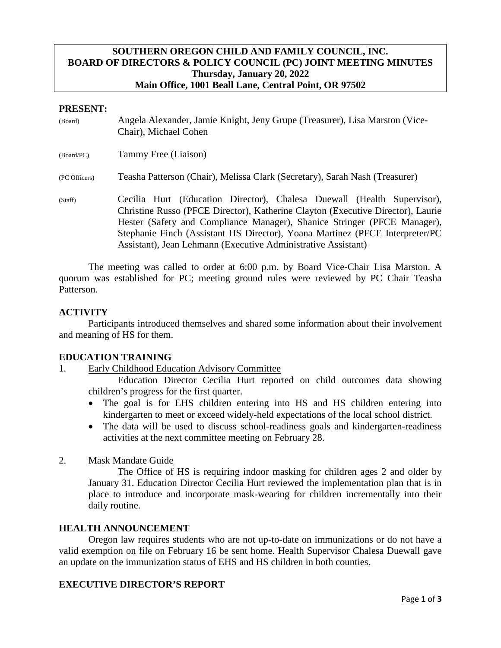# **SOUTHERN OREGON CHILD AND FAMILY COUNCIL, INC. BOARD OF DIRECTORS & POLICY COUNCIL (PC) JOINT MEETING MINUTES Thursday, January 20, 2022 Main Office, 1001 Beall Lane, Central Point, OR 97502**

#### **PRESENT:**

| (Board)       | Angela Alexander, Jamie Knight, Jeny Grupe (Treasurer), Lisa Marston (Vice-<br>Chair), Michael Cohen                                                                                                                                                                                                                                                                                    |
|---------------|-----------------------------------------------------------------------------------------------------------------------------------------------------------------------------------------------------------------------------------------------------------------------------------------------------------------------------------------------------------------------------------------|
| (Board/PC)    | Tammy Free (Liaison)                                                                                                                                                                                                                                                                                                                                                                    |
| (PC Officers) | Teasha Patterson (Chair), Melissa Clark (Secretary), Sarah Nash (Treasurer)                                                                                                                                                                                                                                                                                                             |
| (Staff)       | Cecilia Hurt (Education Director), Chalesa Duewall (Health Supervisor),<br>Christine Russo (PFCE Director), Katherine Clayton (Executive Director), Laurie<br>Hester (Safety and Compliance Manager), Shanice Stringer (PFCE Manager),<br>Stephanie Finch (Assistant HS Director), Yoana Martinez (PFCE Interpreter/PC<br>Assistant), Jean Lehmann (Executive Administrative Assistant) |

The meeting was called to order at 6:00 p.m. by Board Vice-Chair Lisa Marston. A quorum was established for PC; meeting ground rules were reviewed by PC Chair Teasha Patterson.

#### **ACTIVITY**

Participants introduced themselves and shared some information about their involvement and meaning of HS for them.

## **EDUCATION TRAINING**

1. Early Childhood Education Advisory Committee

Education Director Cecilia Hurt reported on child outcomes data showing children's progress for the first quarter.

- The goal is for EHS children entering into HS and HS children entering into kindergarten to meet or exceed widely-held expectations of the local school district.
- The data will be used to discuss school-readiness goals and kindergarten-readiness activities at the next committee meeting on February 28.
- 2. Mask Mandate Guide

The Office of HS is requiring indoor masking for children ages 2 and older by January 31. Education Director Cecilia Hurt reviewed the implementation plan that is in place to introduce and incorporate mask-wearing for children incrementally into their daily routine.

#### **HEALTH ANNOUNCEMENT**

Oregon law requires students who are not up-to-date on immunizations or do not have a valid exemption on file on February 16 be sent home. Health Supervisor Chalesa Duewall gave an update on the immunization status of EHS and HS children in both counties.

## **EXECUTIVE DIRECTOR'S REPORT**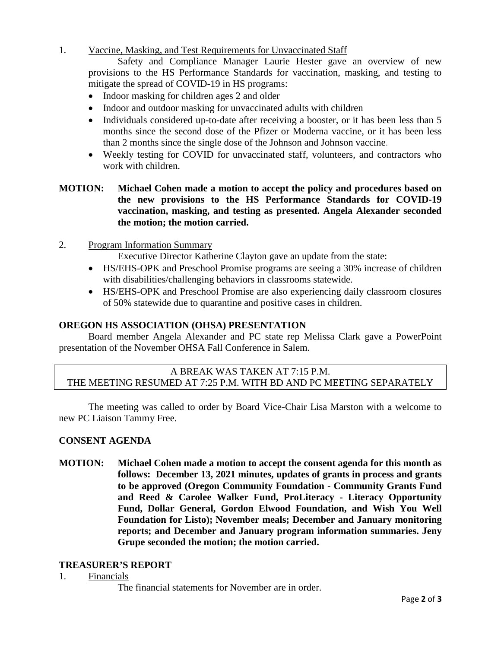1. Vaccine, Masking, and Test Requirements for Unvaccinated Staff

Safety and Compliance Manager Laurie Hester gave an overview of new provisions to the HS Performance Standards for vaccination, masking, and testing to mitigate the spread of COVID-19 in HS programs:

- Indoor masking for children ages 2 and older
- Indoor and outdoor masking for unvaccinated adults with children
- Individuals considered up-to-date after receiving a booster, or it has been less than 5 months since the second dose of the Pfizer or Moderna vaccine, or it has been less than 2 months since the single dose of the Johnson and Johnson vaccine.
- Weekly testing for COVID for unvaccinated staff, volunteers, and contractors who work with children.

# **MOTION: Michael Cohen made a motion to accept the policy and procedures based on the new provisions to the HS Performance Standards for COVID-19 vaccination, masking, and testing as presented. Angela Alexander seconded the motion; the motion carried.**

- 2. Program Information Summary
	- Executive Director Katherine Clayton gave an update from the state:
	- HS/EHS-OPK and Preschool Promise programs are seeing a 30% increase of children with disabilities/challenging behaviors in classrooms statewide.
	- HS/EHS-OPK and Preschool Promise are also experiencing daily classroom closures of 50% statewide due to quarantine and positive cases in children.

## **OREGON HS ASSOCIATION (OHSA) PRESENTATION**

Board member Angela Alexander and PC state rep Melissa Clark gave a PowerPoint presentation of the November OHSA Fall Conference in Salem.

# A BREAK WAS TAKEN AT 7:15 P.M. THE MEETING RESUMED AT 7:25 P.M. WITH BD AND PC MEETING SEPARATELY

The meeting was called to order by Board Vice-Chair Lisa Marston with a welcome to new PC Liaison Tammy Free.

## **CONSENT AGENDA**

**MOTION: Michael Cohen made a motion to accept the consent agenda for this month as follows: December 13, 2021 minutes, updates of grants in process and grants to be approved (Oregon Community Foundation - Community Grants Fund and Reed & Carolee Walker Fund, ProLiteracy - Literacy Opportunity Fund, Dollar General, Gordon Elwood Foundation, and Wish You Well Foundation for Listo); November meals; December and January monitoring reports; and December and January program information summaries. Jeny Grupe seconded the motion; the motion carried.**

## **TREASURER'S REPORT**

- 1. Financials
	- The financial statements for November are in order.